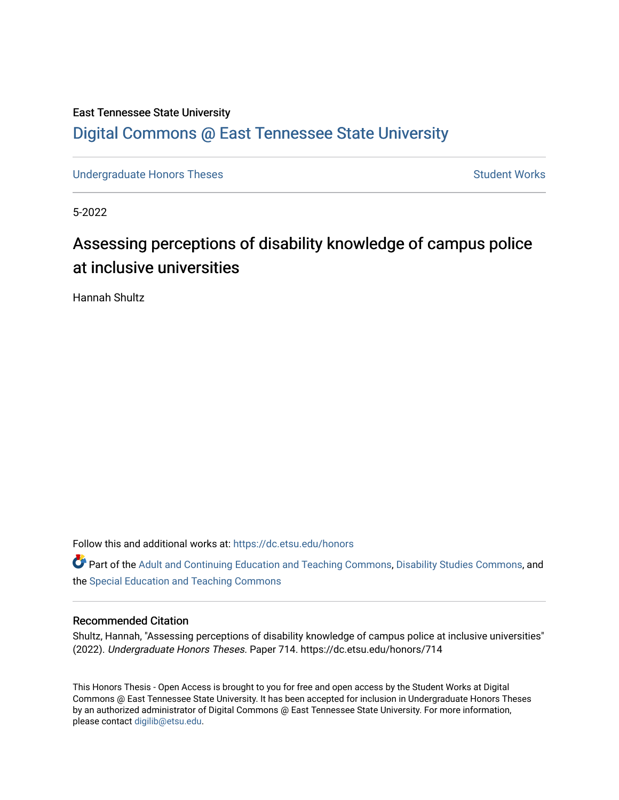# East Tennessee State University [Digital Commons @ East Tennessee State University](https://dc.etsu.edu/)

[Undergraduate Honors Theses](https://dc.etsu.edu/honors) [Student Works](https://dc.etsu.edu/student-works) Student Works

5-2022

# Assessing perceptions of disability knowledge of campus police at inclusive universities

Hannah Shultz

Follow this and additional works at: [https://dc.etsu.edu/honors](https://dc.etsu.edu/honors?utm_source=dc.etsu.edu%2Fhonors%2F714&utm_medium=PDF&utm_campaign=PDFCoverPages)

Part of the [Adult and Continuing Education and Teaching Commons,](http://network.bepress.com/hgg/discipline/804?utm_source=dc.etsu.edu%2Fhonors%2F714&utm_medium=PDF&utm_campaign=PDFCoverPages) [Disability Studies Commons,](http://network.bepress.com/hgg/discipline/1417?utm_source=dc.etsu.edu%2Fhonors%2F714&utm_medium=PDF&utm_campaign=PDFCoverPages) and the [Special Education and Teaching Commons](http://network.bepress.com/hgg/discipline/801?utm_source=dc.etsu.edu%2Fhonors%2F714&utm_medium=PDF&utm_campaign=PDFCoverPages)

#### Recommended Citation

Shultz, Hannah, "Assessing perceptions of disability knowledge of campus police at inclusive universities" (2022). Undergraduate Honors Theses. Paper 714. https://dc.etsu.edu/honors/714

This Honors Thesis - Open Access is brought to you for free and open access by the Student Works at Digital Commons @ East Tennessee State University. It has been accepted for inclusion in Undergraduate Honors Theses by an authorized administrator of Digital Commons @ East Tennessee State University. For more information, please contact [digilib@etsu.edu.](mailto:digilib@etsu.edu)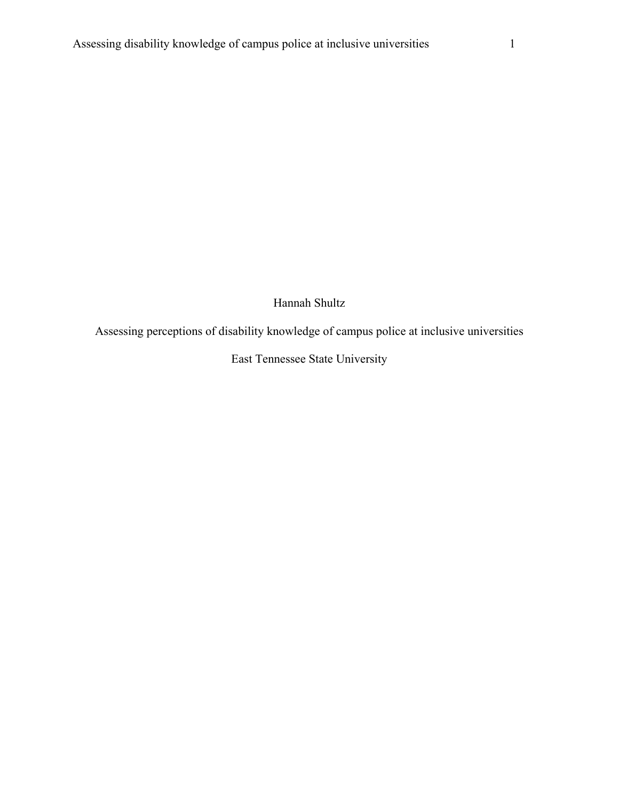Hannah Shultz

Assessing perceptions of disability knowledge of campus police at inclusive universities

East Tennessee State University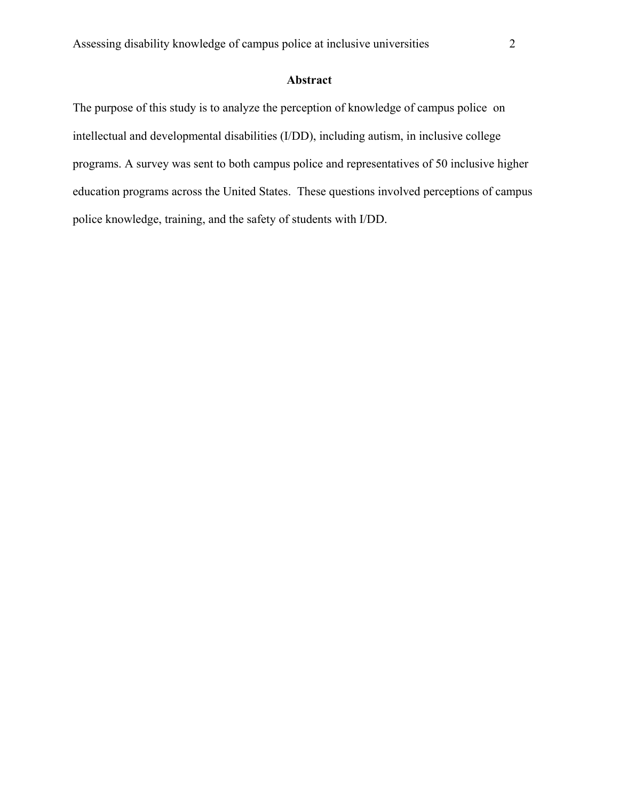# **Abstract**

The purpose of this study is to analyze the perception of knowledge of campus police on intellectual and developmental disabilities (I/DD), including autism, in inclusive college programs. A survey was sent to both campus police and representatives of 50 inclusive higher education programs across the United States. These questions involved perceptions of campus police knowledge, training, and the safety of students with I/DD.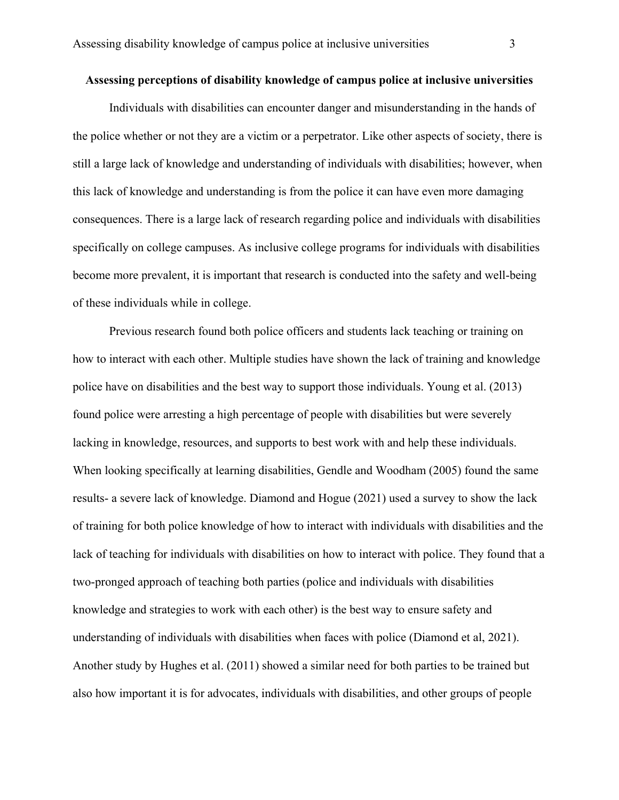#### **Assessing perceptions of disability knowledge of campus police at inclusive universities**

Individuals with disabilities can encounter danger and misunderstanding in the hands of the police whether or not they are a victim or a perpetrator. Like other aspects of society, there is still a large lack of knowledge and understanding of individuals with disabilities; however, when this lack of knowledge and understanding is from the police it can have even more damaging consequences. There is a large lack of research regarding police and individuals with disabilities specifically on college campuses. As inclusive college programs for individuals with disabilities become more prevalent, it is important that research is conducted into the safety and well-being of these individuals while in college.

Previous research found both police officers and students lack teaching or training on how to interact with each other. Multiple studies have shown the lack of training and knowledge police have on disabilities and the best way to support those individuals. Young et al. (2013) found police were arresting a high percentage of people with disabilities but were severely lacking in knowledge, resources, and supports to best work with and help these individuals. When looking specifically at learning disabilities, Gendle and Woodham (2005) found the same results- a severe lack of knowledge. Diamond and Hogue (2021) used a survey to show the lack of training for both police knowledge of how to interact with individuals with disabilities and the lack of teaching for individuals with disabilities on how to interact with police. They found that a two-pronged approach of teaching both parties (police and individuals with disabilities knowledge and strategies to work with each other) is the best way to ensure safety and understanding of individuals with disabilities when faces with police (Diamond et al, 2021). Another study by Hughes et al. (2011) showed a similar need for both parties to be trained but also how important it is for advocates, individuals with disabilities, and other groups of people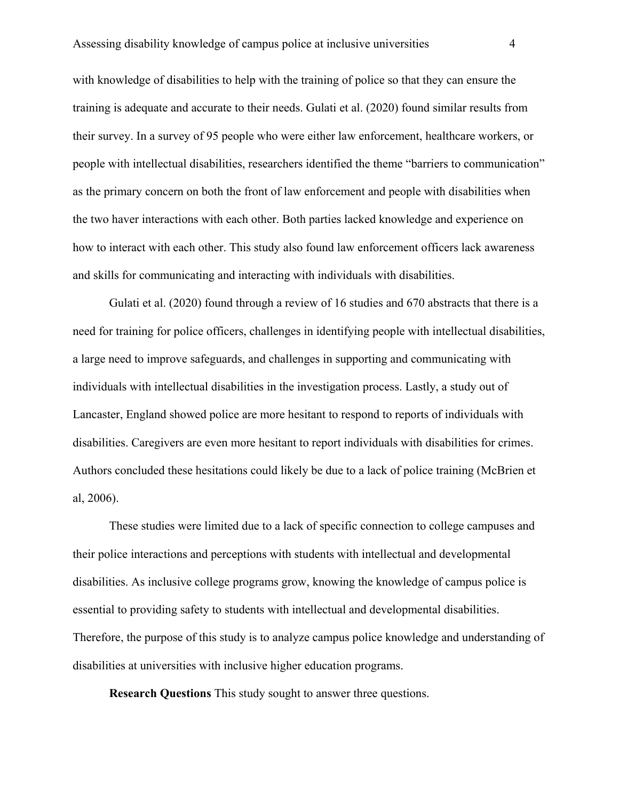with knowledge of disabilities to help with the training of police so that they can ensure the training is adequate and accurate to their needs. Gulati et al. (2020) found similar results from their survey. In a survey of 95 people who were either law enforcement, healthcare workers, or people with intellectual disabilities, researchers identified the theme "barriers to communication" as the primary concern on both the front of law enforcement and people with disabilities when the two haver interactions with each other. Both parties lacked knowledge and experience on how to interact with each other. This study also found law enforcement officers lack awareness and skills for communicating and interacting with individuals with disabilities.

Gulati et al. (2020) found through a review of 16 studies and 670 abstracts that there is a need for training for police officers, challenges in identifying people with intellectual disabilities, a large need to improve safeguards, and challenges in supporting and communicating with individuals with intellectual disabilities in the investigation process. Lastly, a study out of Lancaster, England showed police are more hesitant to respond to reports of individuals with disabilities. Caregivers are even more hesitant to report individuals with disabilities for crimes. Authors concluded these hesitations could likely be due to a lack of police training (McBrien et al, 2006).

These studies were limited due to a lack of specific connection to college campuses and their police interactions and perceptions with students with intellectual and developmental disabilities. As inclusive college programs grow, knowing the knowledge of campus police is essential to providing safety to students with intellectual and developmental disabilities. Therefore, the purpose of this study is to analyze campus police knowledge and understanding of disabilities at universities with inclusive higher education programs.

**Research Questions** This study sought to answer three questions.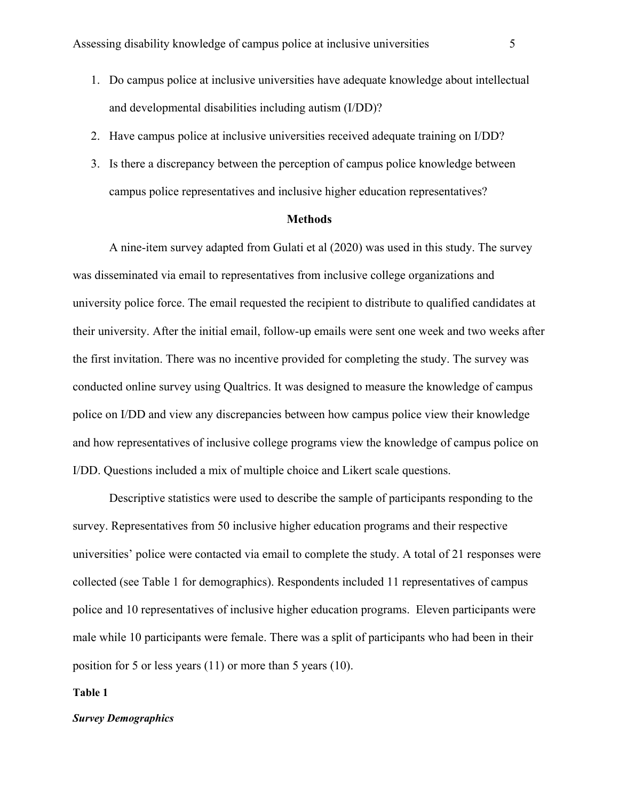- 1. Do campus police at inclusive universities have adequate knowledge about intellectual and developmental disabilities including autism (I/DD)?
- 2. Have campus police at inclusive universities received adequate training on I/DD?
- 3. Is there a discrepancy between the perception of campus police knowledge between campus police representatives and inclusive higher education representatives?

#### **Methods**

A nine-item survey adapted from Gulati et al (2020) was used in this study. The survey was disseminated via email to representatives from inclusive college organizations and university police force. The email requested the recipient to distribute to qualified candidates at their university. After the initial email, follow-up emails were sent one week and two weeks after the first invitation. There was no incentive provided for completing the study. The survey was conducted online survey using Qualtrics. It was designed to measure the knowledge of campus police on I/DD and view any discrepancies between how campus police view their knowledge and how representatives of inclusive college programs view the knowledge of campus police on I/DD. Questions included a mix of multiple choice and Likert scale questions.

Descriptive statistics were used to describe the sample of participants responding to the survey. Representatives from 50 inclusive higher education programs and their respective universities' police were contacted via email to complete the study. A total of 21 responses were collected (see Table 1 for demographics). Respondents included 11 representatives of campus police and 10 representatives of inclusive higher education programs. Eleven participants were male while 10 participants were female. There was a split of participants who had been in their position for 5 or less years (11) or more than 5 years (10).

#### **Table 1**

#### *Survey Demographics*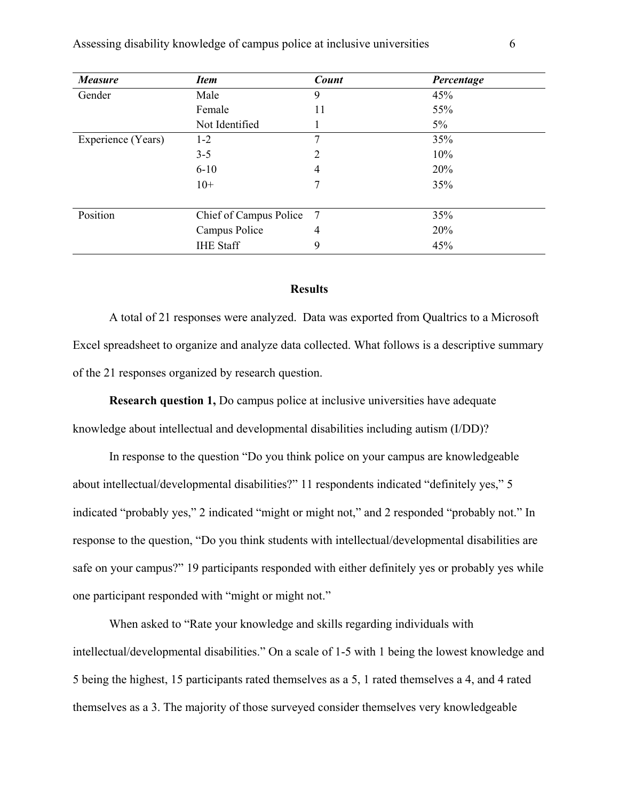| <b>Measure</b>     | <b>Item</b>            | <b>Count</b>   | Percentage |
|--------------------|------------------------|----------------|------------|
| Gender             | Male                   | 9              | 45%        |
|                    | Female                 | 11             | 55%        |
|                    | Not Identified         |                | $5\%$      |
| Experience (Years) | $1 - 2$                | 7              | 35%        |
|                    | $3 - 5$                | $\overline{2}$ | 10%        |
|                    | $6 - 10$               | 4              | 20%        |
|                    | $10+$                  | 7              | 35%        |
|                    |                        |                |            |
| Position           | Chief of Campus Police | -7             | 35%        |
|                    | Campus Police          | 4              | 20%        |
|                    | <b>IHE Staff</b>       | 9              | 45%        |

# **Results**

A total of 21 responses were analyzed. Data was exported from Qualtrics to a Microsoft Excel spreadsheet to organize and analyze data collected. What follows is a descriptive summary of the 21 responses organized by research question.

**Research question 1,** Do campus police at inclusive universities have adequate

knowledge about intellectual and developmental disabilities including autism (I/DD)?

In response to the question "Do you think police on your campus are knowledgeable about intellectual/developmental disabilities?" 11 respondents indicated "definitely yes," 5 indicated "probably yes," 2 indicated "might or might not," and 2 responded "probably not." In response to the question, "Do you think students with intellectual/developmental disabilities are safe on your campus?" 19 participants responded with either definitely yes or probably yes while one participant responded with "might or might not."

 When asked to "Rate your knowledge and skills regarding individuals with intellectual/developmental disabilities." On a scale of 1-5 with 1 being the lowest knowledge and 5 being the highest, 15 participants rated themselves as a 5, 1 rated themselves a 4, and 4 rated themselves as a 3. The majority of those surveyed consider themselves very knowledgeable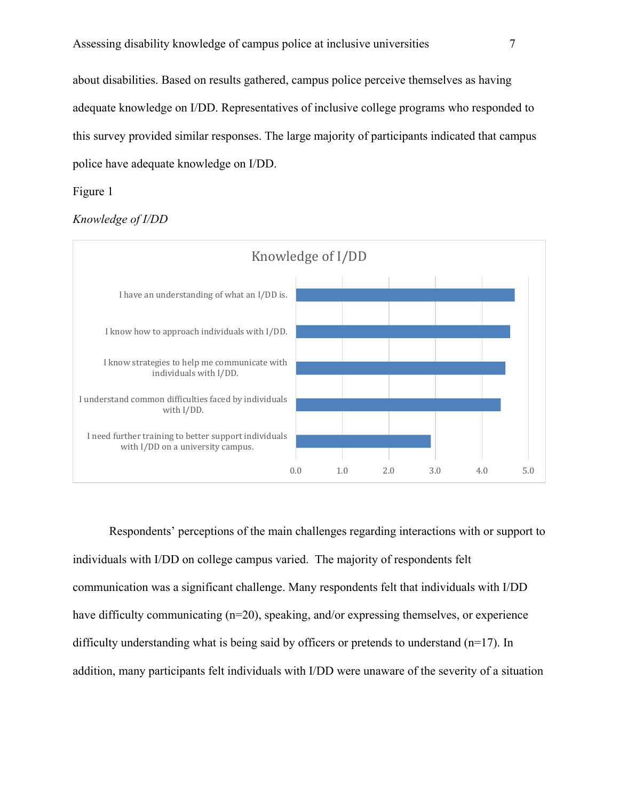about disabilities. Based on results gathered, campus police perceive themselves as having adequate knowledge on I/DD. Representatives of inclusive college programs who responded to this survey provided similar responses. The large majority of participants indicated that campus police have adequate knowledge on I/DD.

## Figure 1





 Respondents' perceptions of the main challenges regarding interactions with or support to individuals with I/DD on college campus varied. The majority of respondents felt communication was a significant challenge. Many respondents felt that individuals with I/DD have difficulty communicating (n=20), speaking, and/or expressing themselves, or experience difficulty understanding what is being said by officers or pretends to understand (n=17). In addition, many participants felt individuals with I/DD were unaware of the severity of a situation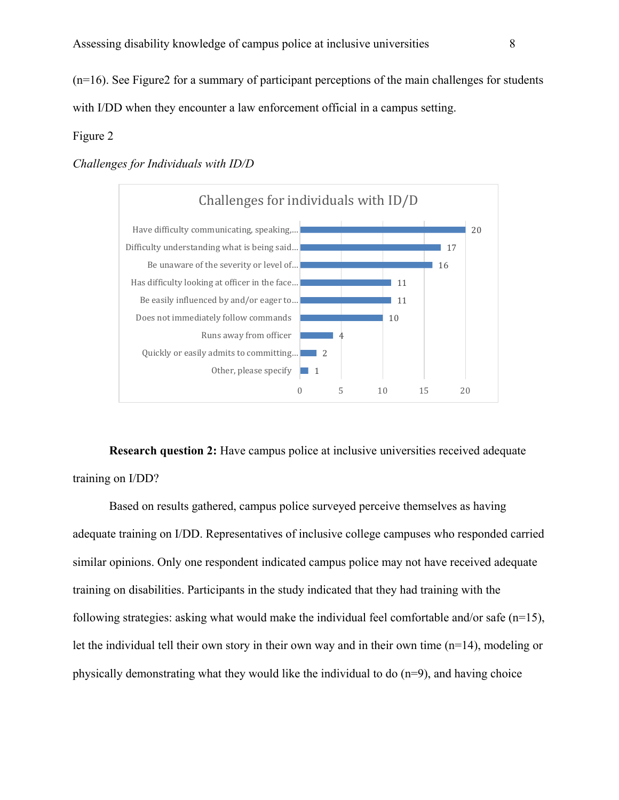(n=16). See Figure2 for a summary of participant perceptions of the main challenges for students with I/DD when they encounter a law enforcement official in a campus setting.

#### Figure 2

#### *Challenges for Individuals with ID/D*



**Research question 2:** Have campus police at inclusive universities received adequate training on I/DD?

Based on results gathered, campus police surveyed perceive themselves as having adequate training on I/DD. Representatives of inclusive college campuses who responded carried similar opinions. Only one respondent indicated campus police may not have received adequate training on disabilities. Participants in the study indicated that they had training with the following strategies: asking what would make the individual feel comfortable and/or safe ( $n=15$ ), let the individual tell their own story in their own way and in their own time (n=14), modeling or physically demonstrating what they would like the individual to do (n=9), and having choice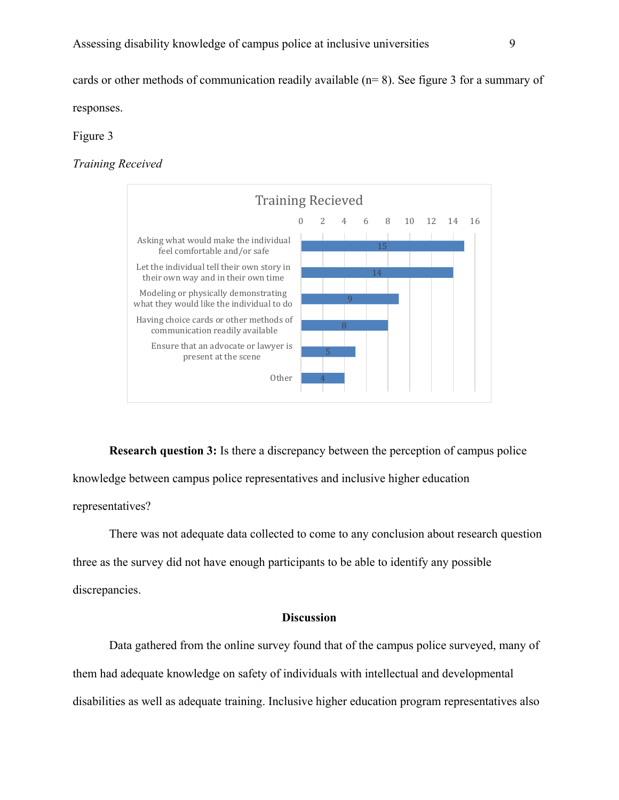cards or other methods of communication readily available (n= 8). See figure 3 for a summary of responses.

Figure 3

*Training Received*



**Research question 3:** Is there a discrepancy between the perception of campus police knowledge between campus police representatives and inclusive higher education representatives?

There was not adequate data collected to come to any conclusion about research question three as the survey did not have enough participants to be able to identify any possible discrepancies.

# **Discussion**

Data gathered from the online survey found that of the campus police surveyed, many of them had adequate knowledge on safety of individuals with intellectual and developmental disabilities as well as adequate training. Inclusive higher education program representatives also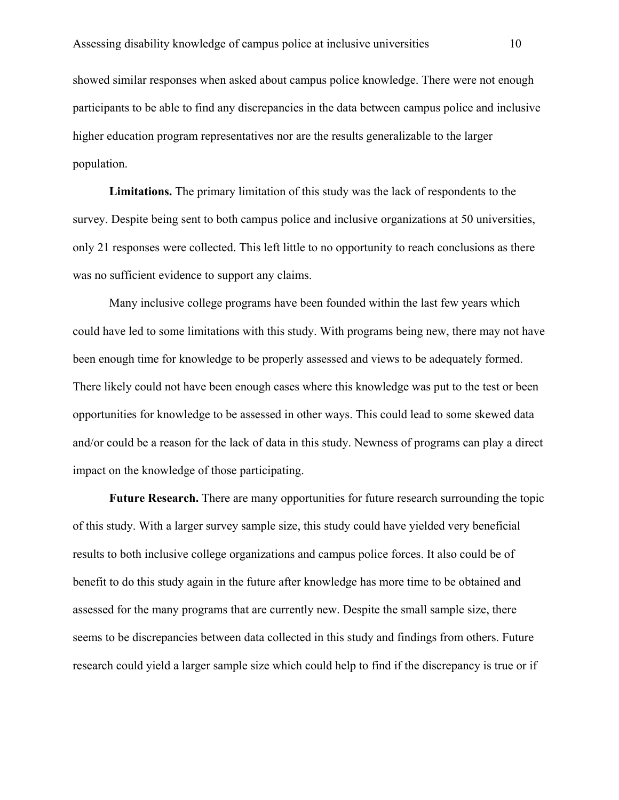showed similar responses when asked about campus police knowledge. There were not enough participants to be able to find any discrepancies in the data between campus police and inclusive higher education program representatives nor are the results generalizable to the larger population.

**Limitations.** The primary limitation of this study was the lack of respondents to the survey. Despite being sent to both campus police and inclusive organizations at 50 universities, only 21 responses were collected. This left little to no opportunity to reach conclusions as there was no sufficient evidence to support any claims.

 Many inclusive college programs have been founded within the last few years which could have led to some limitations with this study. With programs being new, there may not have been enough time for knowledge to be properly assessed and views to be adequately formed. There likely could not have been enough cases where this knowledge was put to the test or been opportunities for knowledge to be assessed in other ways. This could lead to some skewed data and/or could be a reason for the lack of data in this study. Newness of programs can play a direct impact on the knowledge of those participating.

**Future Research.** There are many opportunities for future research surrounding the topic of this study. With a larger survey sample size, this study could have yielded very beneficial results to both inclusive college organizations and campus police forces. It also could be of benefit to do this study again in the future after knowledge has more time to be obtained and assessed for the many programs that are currently new. Despite the small sample size, there seems to be discrepancies between data collected in this study and findings from others. Future research could yield a larger sample size which could help to find if the discrepancy is true or if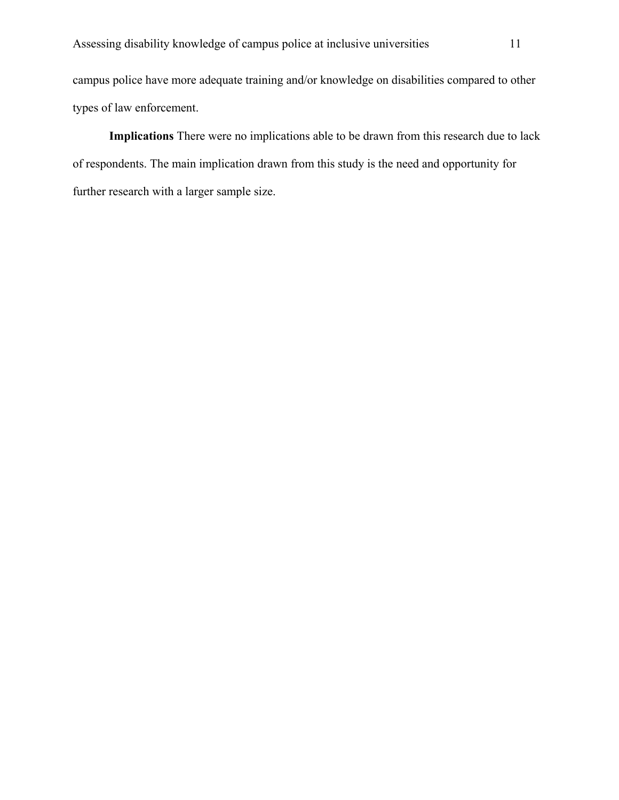campus police have more adequate training and/or knowledge on disabilities compared to other types of law enforcement.

**Implications** There were no implications able to be drawn from this research due to lack of respondents. The main implication drawn from this study is the need and opportunity for further research with a larger sample size.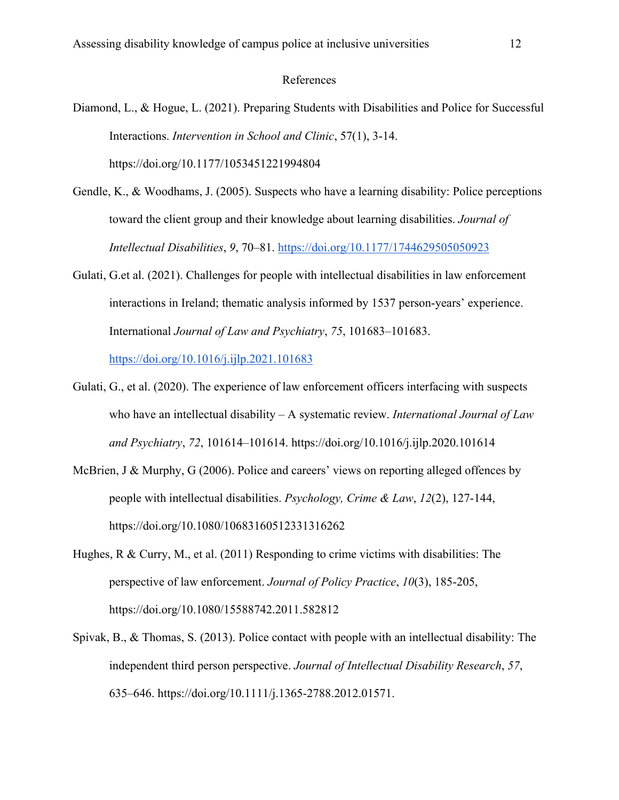#### References

- Diamond, L., & Hogue, L. (2021). Preparing Students with Disabilities and Police for Successful Interactions. *Intervention in School and Clinic*, 57(1), 3-14. https://doi.org/10.1177/1053451221994804
- Gendle, K., & Woodhams, J. (2005). Suspects who have a learning disability: Police perceptions toward the client group and their knowledge about learning disabilities. *Journal of Intellectual Disabilities*, *9*, 70–81. https://doi.org/10.1177/1744629505050923
- Gulati, G.et al. (2021). Challenges for people with intellectual disabilities in law enforcement interactions in Ireland; thematic analysis informed by 1537 person-years' experience. International *Journal of Law and Psychiatry*, *75*, 101683–101683. https://doi.org/10.1016/j.ijlp.2021.101683
- Gulati, G., et al. (2020). The experience of law enforcement officers interfacing with suspects who have an intellectual disability – A systematic review. *International Journal of Law and Psychiatry*, *72*, 101614–101614. https://doi.org/10.1016/j.ijlp.2020.101614
- McBrien, J & Murphy, G (2006). Police and careers' views on reporting alleged offences by people with intellectual disabilities. *Psychology, Crime & Law*, *12*(2), 127-144, https://doi.org[/10.1080/10683160512331316262](https://doi.org/10.1080/10683160512331316262)
- Hughes, R & Curry, M., et al. (2011) Responding to crime victims with disabilities: The perspective of law enforcement. *Journal of Policy Practice*, *10*(3), 185-205, https://doi.org[/10.1080/15588742.2011.582812](https://doi.org/10.1080/15588742.2011.582812)
- Spivak, B., & Thomas, S. (2013). Police contact with people with an intellectual disability: The independent third person perspective. *Journal of Intellectual Disability Research*, *57*, 635–646. https://doi.org/10.1111/j.1365-2788.2012.01571.